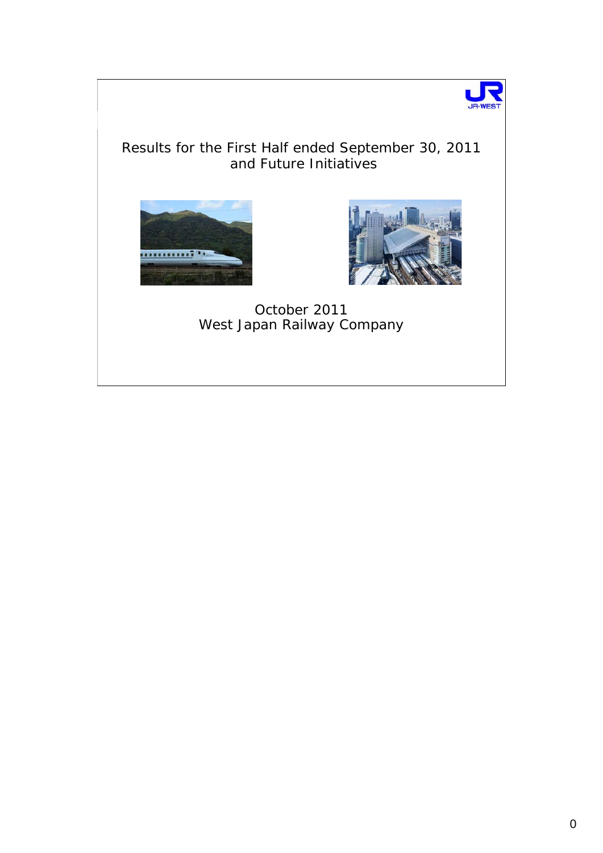

## Results for the First Half ended September 30, 2011 and Future Initiatives





October 2011 West Japan Railway Company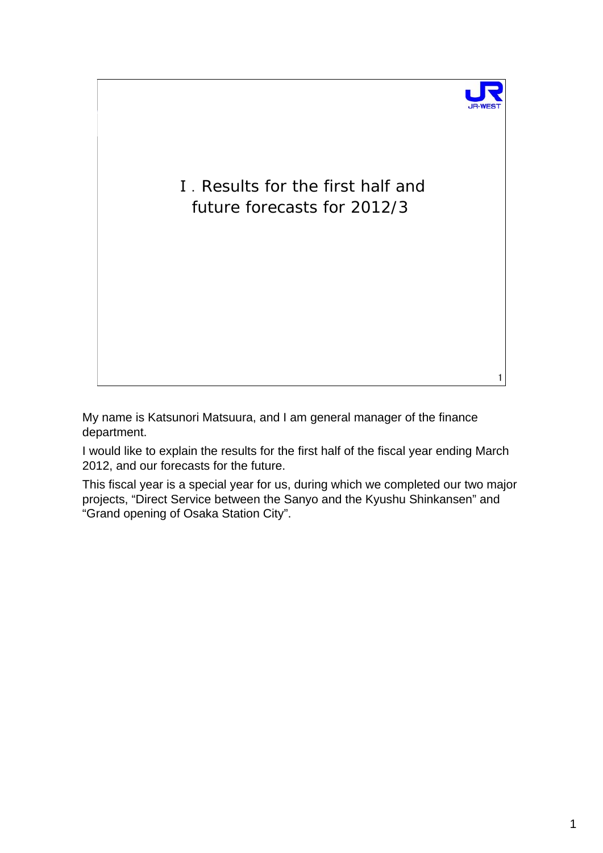

1

Ⅰ.Results for the first half and future forecasts for 2012/3

My name is Katsunori Matsuura, and I am general manager of the finance department.

I would like to explain the results for the first half of the fiscal year ending March 2012, and our forecasts for the future.

This fiscal year is a special year for us, during which we completed our two major projects, "Direct Service between the Sanyo and the Kyushu Shinkansen" and "Grand opening of Osaka Station City".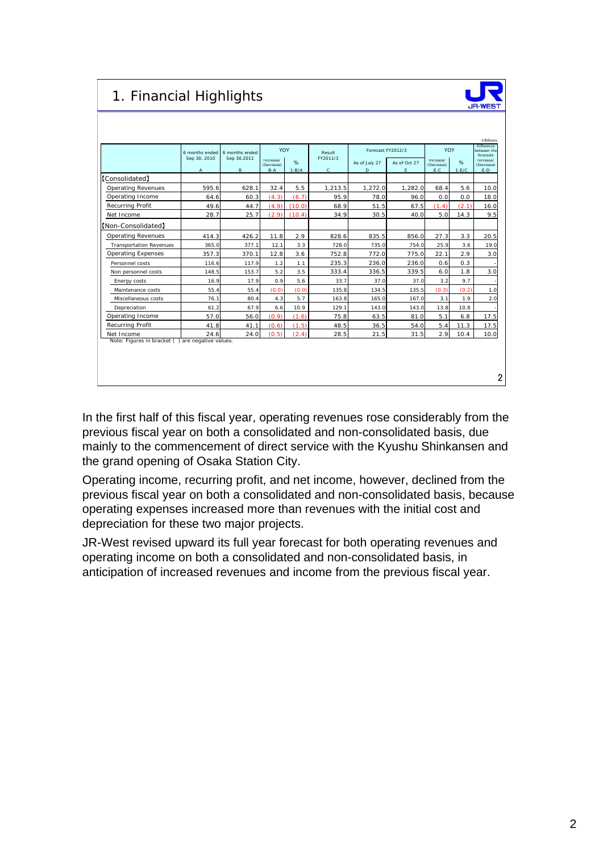# 1. Financial Highlights



|                                                  | 6 months ended               | 6 months ended    | YOY                              |                 | Result                   | Forecast FY2012/3  |                    | YOY                              |              | Difference<br>between the<br>forecasts |
|--------------------------------------------------|------------------------------|-------------------|----------------------------------|-----------------|--------------------------|--------------------|--------------------|----------------------------------|--------------|----------------------------------------|
|                                                  | Sep 30, 2010<br>$\mathsf{A}$ | Sep 30,2011<br>B. | Increase/<br>(Decrease)<br>$B-A$ | $\%$<br>$1-B/A$ | FY2011/3<br>$\mathbf{C}$ | As of July 27<br>D | As of Oct 27<br>E. | Increase/<br>(Decrease)<br>$E-C$ | %<br>$1-E/C$ | Increase/<br>(Decrease)<br>$E-D$       |
| <b>[Consolidated]</b>                            |                              |                   |                                  |                 |                          |                    |                    |                                  |              |                                        |
| <b>Operating Revenues</b>                        | 595.6                        | 628.1             | 32.4                             | 5.5             | 1,213.5                  | 1,272.0            | 1,282.0            | 68.4                             | 5.6          | 10.0                                   |
| Operating Income                                 | 64.6                         | 60.3              | (4.3)                            | (6.7)           | 95.9                     | 78.0               | 96.0               | 0.0                              | 0.0          | 18.0                                   |
| Recurring Profit                                 | 49.6                         | 44.7              | (4.9)                            | (10.0)          | 68.9                     | 51.5               | 67.5               | (1.4)                            | (2.1)        | 16.0                                   |
| Net Income                                       | 28.7                         | 25.7              | (2.9)                            | (10.4)          | 34.9                     | 30.5               | 40.0               | 5.0                              | 14.3         | 9.5                                    |
| [Non-Consolidated]                               |                              |                   |                                  |                 |                          |                    |                    |                                  |              |                                        |
| <b>Operating Revenues</b>                        | 414.3                        | 426.2             | 11.8                             | 2.9             | 828.6                    | 835.5              | 856.0              | 27.3                             | 3.3          | 20.5                                   |
| <b>Transportation Revenues</b>                   | 365.0                        | 377.1             | 12.1                             | 3.3             | 728.0                    | 735.0              | 754.0              | 25.9                             | 3.6          | 19.0                                   |
| <b>Operating Expenses</b>                        | 357.3                        | 370.1             | 12.8                             | 3.6             | 752.8                    | 772.0              | 775.0              | 22.1                             | 2.9          | 3.0                                    |
| Personnel costs                                  | 116.6                        | 117.9             | 1.2                              | 1.1             | 235.3                    | 236.0              | 236.0              | 0.6                              | 0.3          |                                        |
| Non personnel costs                              | 148.5                        | 153.7             | 5.2                              | 3.5             | 333.4                    | 336.5              | 339.5              | 6.0                              | 1.8          | 3.0                                    |
| Energy costs                                     | 16.9                         | 17.9              | 0.9                              | 5.6             | 33.7                     | 37.0               | 37.0               | 3.2                              | 9.7          |                                        |
| Maintenance costs                                | 55.4                         | 55.4              | (0,0)                            | (0,0)           | 135.8                    | 134.5              | 135.5              | (0.3)                            | (0.2)        | 1.0                                    |
| Miscellaneous costs                              | 76.1                         | 80.4              | 4.3                              | 5.7             | 163.8                    | 165.0              | 167.0              | 3.1                              | 1.9          | 2.0                                    |
| Depreciation                                     | 61.2                         | 67.9              | 6.6                              | 10.9            | 129.1                    | 143.0              | 143.0              | 13.8                             | 10.8         |                                        |
| Operating Income                                 | 57.0                         | 56.0              | (0.9)                            | (1.6)           | 75.8                     | 63.5               | 81.0               | 5.1                              | 6.8          | 17.5                                   |
| Recurring Profit                                 | 41.8                         | 41.1              | (0.6)                            | (1.5)           | 48.5                     | 36.5               | 54.0               | 5.4                              | 11.3         | 17.5                                   |
| Net Income                                       | 24.6                         | 24.0              | (0.5)                            | (2.4)           | 28.5                     | 21.5               | 31.5               | 2.9                              | 10.4         | 10.0                                   |
| Note: Figures in bracket () are negative values. |                              |                   |                                  |                 |                          |                    |                    |                                  |              |                                        |

In the first half of this fiscal year, operating revenues rose considerably from the previous fiscal year on both a consolidated and non-consolidated basis, due mainly to the commencement of direct service with the Kyushu Shinkansen and the grand opening of Osaka Station City.

Operating income, recurring profit, and net income, however, declined from the previous fiscal year on both a consolidated and non-consolidated basis, because operating expenses increased more than revenues with the initial cost and depreciation for these two major projects.

JR-West revised upward its full year forecast for both operating revenues and operating income on both a consolidated and non-consolidated basis, in anticipation of increased revenues and income from the previous fiscal year.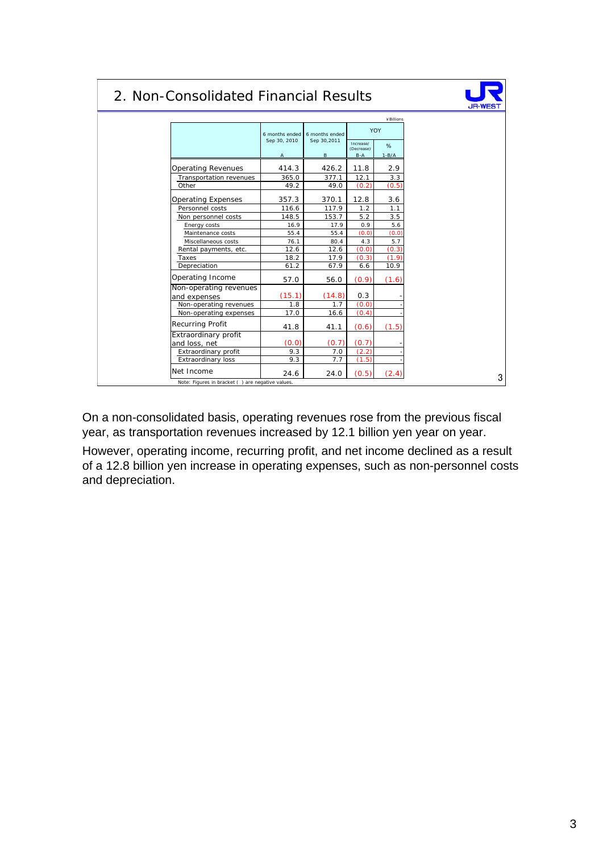## 2. Non-Consolidated Financial Results



|                           | 6 months ended<br>Sep 30, 2010 | 6 months ended<br>Sep 30,2011 |                         | YOY     |
|---------------------------|--------------------------------|-------------------------------|-------------------------|---------|
|                           |                                |                               | Increase/<br>(Decrease) | %       |
|                           | Α                              | B                             | $B-A$                   | $1-B/A$ |
| <b>Operating Revenues</b> | 414.3                          | 426.2                         | 11.8                    | 2.9     |
| Transportation revenues   | 365.0                          | 377.1                         | 12.1                    | 3.3     |
| Other                     | 49.2                           | 49.0                          | (0.2)                   | (0.5)   |
| Operating Expenses        | 357.3                          | 370.1                         | 12.8                    | 3.6     |
| Personnel costs           | 116.6                          | 117.9                         | 1.2                     | 1.1     |
| Non personnel costs       | 148.5                          | 153.7                         | 5.2                     | 3.5     |
| Energy costs              | 16.9                           | 17.9                          | 0.9                     | 5.6     |
| Maintenance costs         | 55.4                           | 55.4                          | (0.0)                   | (0.0)   |
| Miscellaneous costs       | 76.1                           | 80.4                          | 4.3                     | 5.7     |
| Rental payments, etc.     | 12.6                           | 12.6                          | (0.0)                   | (0.3)   |
| Taxes                     | 18.2                           | 17.9                          | (0.3)                   | (1.9)   |
| Depreciation              | 61.2                           | 67.9                          | 6.6                     | 10.9    |
| Operating Income          | 57.0                           | 56.0                          | (0.9)                   | (1.6)   |
| Non-operating revenues    |                                |                               |                         |         |
| and expenses              | (15.1)                         | (14.8)                        | 0.3                     |         |
| Non-operating revenues    | 1.8                            | 1.7                           | (0.0)                   |         |
| Non-operating expenses    | 17.0                           | 16.6                          | (0.4)                   |         |
| Recurring Profit          | 41.8                           | 41.1                          | (0.6)                   | (1.5)   |
| Extraordinary profit      |                                |                               |                         |         |
| and loss, net             | (0.0)                          | (0.7)                         | (0.7)                   |         |
| Extraordinary profit      | 9.3                            | 7.0                           | (2.2)                   |         |
| Extraordinary loss        | 9.3                            | 7.7                           | (1.5)                   |         |
| Net Income                | 24.6                           | 24.0                          | (0.5)                   | (2.4)   |

On a non-consolidated basis, operating revenues rose from the previous fiscal year, as transportation revenues increased by 12.1 billion yen year on year.

However, operating income, recurring profit, and net income declined as a result of a 12.8 billion yen increase in operating expenses, such as non-personnel costs and depreciation.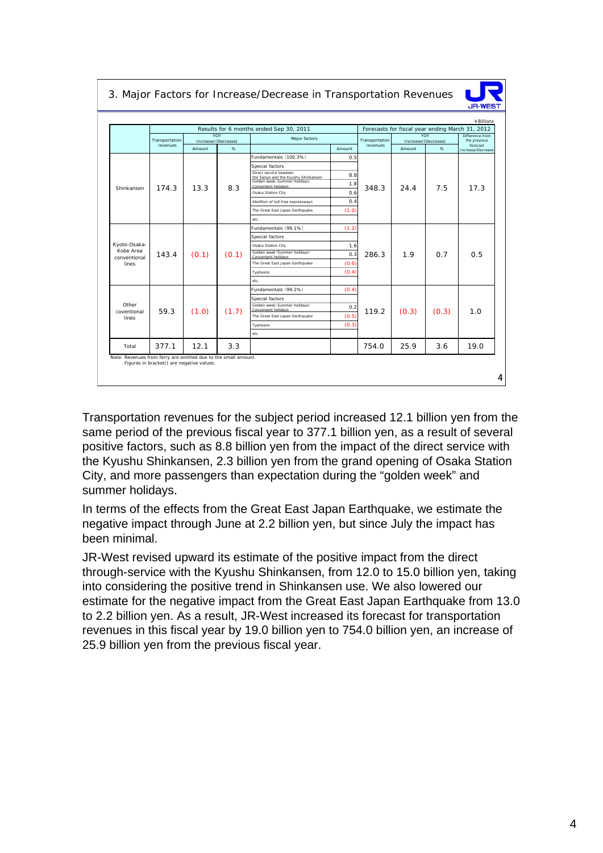|  |  |  | 3. Major Factors for Increase/Decrease in Transportation Revenues |  |
|--|--|--|-------------------------------------------------------------------|--|
|  |  |  |                                                                   |  |



|                           |                            |        |                            | Results for 6 months ended Sep 30, 2011        |             |                            |        | Forecasts for fiscal year ending March 31, 2012 |                                             |
|---------------------------|----------------------------|--------|----------------------------|------------------------------------------------|-------------|----------------------------|--------|-------------------------------------------------|---------------------------------------------|
|                           | Transportation<br>revenues |        | YOY<br>Increase/(Decrease) | Major factors                                  |             | Transportation<br>revenues |        | YOY<br>Increase/(Decrease)                      | Difference from<br>the previous<br>forecast |
|                           |                            | Amount | $\%$                       |                                                | Amount      |                            | Amount | %                                               | Increase/Decrease                           |
|                           |                            |        |                            | Fundamentals (100.3%)                          | 0.5         |                            |        |                                                 |                                             |
|                           |                            |        |                            | Special factors<br>Direct service bewteen      | 8.8<br>1.8  |                            |        |                                                 |                                             |
| Shinkansen                | 174.3                      | 13.3   | 8.3                        | Convenient holidays<br>Osaka Station City      | .<br>0.6    | 348.3                      | 24.4   | 7.5                                             | 17.3                                        |
|                           |                            |        |                            | Abolition of toll-free expressways             | 0.4         |                            |        |                                                 |                                             |
|                           |                            |        |                            | The Great East Japan Earthquake<br>etc.        | <br>(1.0)   |                            |        |                                                 |                                             |
|                           |                            |        |                            | Fundamentals (99.1%)                           | (1.2)       |                            |        |                                                 |                                             |
|                           |                            |        |                            | Special factors                                |             |                            |        |                                                 |                                             |
| Kyoto-Osaka-              |                            |        |                            | Osaka Station City                             | 1.6         |                            |        |                                                 |                                             |
| Kobe Area<br>conventional | 143.4                      | (0.1)  | (0.1)                      | Golden week · Summer holidays ·                | <br>0.3<br> | 286.3                      | 1.9    | 0.7                                             | 0.5                                         |
| lines                     |                            |        |                            | The Great East Japan Earthquake                | (0.6)       |                            |        |                                                 |                                             |
|                           |                            |        |                            | Typhoons                                       | (0.4)       |                            |        |                                                 |                                             |
|                           |                            |        |                            | etc.                                           |             |                            |        |                                                 |                                             |
|                           |                            |        |                            | Fundamentals (99.2%)                           | (0.4)       |                            |        |                                                 |                                             |
| Other                     |                            |        |                            | Special factors<br>Golden week Summer holidays |             |                            |        |                                                 |                                             |
| coventional               | 59.3                       | (1.0)  | (1.7)                      |                                                | 0.2<br>     | 119.2                      | (0.3)  | (0.3)                                           | 1.0                                         |
| lines                     |                            |        |                            | The Great East Japan Earthquake                | (0.5)       |                            |        |                                                 |                                             |
|                           |                            |        |                            | Typhoons<br>etc.                               | (0.3)       |                            |        |                                                 |                                             |
|                           | 377.1                      | 12.1   | 3.3                        |                                                |             | 754.0                      | 25.9   | 3.6                                             | 19.0                                        |

Transportation revenues for the subject period increased 12.1 billion yen from the same period of the previous fiscal year to 377.1 billion yen, as a result of several positive factors, such as 8.8 billion yen from the impact of the direct service with the Kyushu Shinkansen, 2.3 billion yen from the grand opening of Osaka Station City, and more passengers than expectation during the "golden week" and summer holidays.

In terms of the effects from the Great East Japan Earthquake, we estimate the negative impact through June at 2.2 billion yen, but since July the impact has been minimal.

JR-West revised upward its estimate of the positive impact from the direct through-service with the Kyushu Shinkansen, from 12.0 to 15.0 billion yen, taking into considering the positive trend in Shinkansen use. We also lowered our estimate for the negative impact from the Great East Japan Earthquake from 13.0 to 2.2 billion yen. As a result, JR-West increased its forecast for transportation revenues in this fiscal year by 19.0 billion yen to 754.0 billion yen, an increase of 25.9 billion yen from the previous fiscal year.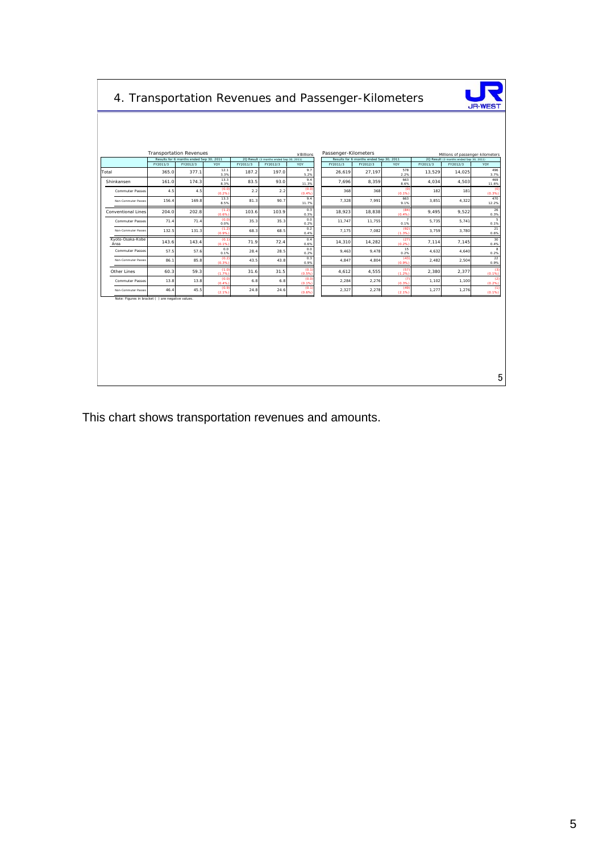| 4. Transportation Revenues and Passenger-Kilometers |                   |                                         |                |                   |                                         |                |                      |                                         |                        |                    |                                         | <b>JR-WEST</b>                   |
|-----------------------------------------------------|-------------------|-----------------------------------------|----------------|-------------------|-----------------------------------------|----------------|----------------------|-----------------------------------------|------------------------|--------------------|-----------------------------------------|----------------------------------|
|                                                     |                   |                                         |                |                   |                                         |                |                      |                                         |                        |                    |                                         |                                  |
|                                                     |                   | <b>Transportation Revenues</b>          |                |                   |                                         | ¥Billions      | Passenger-Kilometers |                                         |                        |                    |                                         | Millions of passenger-kilometers |
|                                                     |                   | Results for 6 months ended Sep 30, 2011 |                |                   | 2Q Result (3 months ended Sep 30, 2011) |                |                      | Results for 6 months ended Sep 30, 2011 |                        |                    | 2Q Result (3 months ended Sep 30, 2011) |                                  |
| Total                                               | FY2011/3<br>365.0 | FY2012/3<br>377.1                       | YOY<br>12.1    | FY2011/3<br>187.2 | FY2012/3<br>197.0                       | YOY<br>9.7     | FY2011/3<br>26,619   | FY2012/3<br>27,197                      | YOY<br>578             | FY2011/3<br>13,529 | FY2012/3<br>14,025                      | YOY<br>496                       |
|                                                     |                   |                                         | 3.3%<br>13.3   |                   |                                         | 5.2%<br>9.4    |                      |                                         | 2.2%<br>663            |                    |                                         | 3.7%<br>469                      |
| Shinkansen                                          | 161.0             | 174.3                                   | 8.3%<br>(0.0)  | 83.5              | 93.0                                    | 11.3%<br>(0.0) | 7,696                | 8.359                                   | 8.6%<br>$\epsilon$     | 4,034              | 4,503                                   | 11.6%<br>$\mathbf{G}$            |
| <b>Commuter Passes</b>                              | 4.5               | 4.5                                     | (0.2%<br>13.3  | 2.2               | 2.2                                     | (0.4%<br>9.4   | 368                  | 368                                     | (0.1%<br>663           | 182                | 181                                     | (0.3%<br>470                     |
| Non-Commuter Passer                                 | 156.4             | 169.8                                   | 8.5%           | 81.3              | 90.7                                    | 11.7%          | 7,328                | 7,991                                   | 9.1%                   | 3,851              | 4,322                                   | 12.2%                            |
| Conventional Lines                                  | 204.0             | 202.8                                   | (1.2)<br>(0.6% | 103.6             | 103.9                                   | 0.3<br>0.3%    | 18,923               | 18,838                                  | (84)<br>(0.4%          | 9,495              | 9,522                                   | 26<br>0.3%                       |
| <b>Commuter Passes</b>                              | 71.4              | 71.4                                    | (0.0)<br>0.0%  | 35.3              | 35.3                                    | 0.0<br>0.2%    | 11,747               | 11,755                                  | $\overline{7}$<br>0.1% | 5,735              | 5,741                                   | 5<br>0.1%                        |
| Non-Commuter Passes                                 | 132.5             | 131.3                                   | (1.2)<br>(0.9% | 68.3              | 68.5                                    | 0.2<br>0.4%    | 7,175                | 7,082                                   | (92)<br>(1.3%          | 3,759              | 3,780                                   | 21<br>0.6%                       |
| Kyoto-Osaka-Kobe<br>Area                            | 143.6             | 143.4                                   | (0.1)<br>(0.1% | 71.9              | 72.4                                    | 0.4<br>0.6%    | 14,310               | 14,282                                  | (27)<br>(0.2%          | 7,114              | 7,145                                   | 30<br>0.4%                       |
| <b>Commuter Passes</b>                              | 57.5              | 57.6                                    | 0.0<br>0.1%    | 28.4              | 28.5                                    | 0.0<br>0.2%    | 9,463                | 9,478                                   | 15<br>0.2%             | 4,632              | 4,640                                   | 8<br>0.2%                        |
| Non-Commuter Passes                                 | 86.1              | 85.8                                    | (0.2)<br>(0.3% | 43.5              | 43.8                                    | 0.3<br>0.9%    | 4,847                | 4,804                                   | (43)<br>(0.9%          | 2,482              | 2,504                                   | 22<br>0.9%                       |
| Other Lines                                         | 60.3              | 59.3                                    | (1.0)<br>(1.7% | 31.6              | 31.5                                    | (0.1)<br>(0.5% | 4,612                | 4,555                                   | (57<br>(1.2%           | 2,380              | 2,377                                   | -63<br>(0.1%                     |
| Commuter Passes                                     | 13.8              | 13.8                                    | (0.0)<br>(0.4% | 6.8               | 6.8                                     | (0,0)<br>(0.1% | 2,284                | 2,276                                   | -67<br>(0.3%           | 1,102              | 1,100                                   | $\left(2\right)$<br>(0.2%        |
| Non-Commuter Passes                                 | 46.4              | 45.5                                    | (0.9)<br>(2.1% | 24.8              | 24.6                                    | (0.1)<br>(0.6% | 2,327                | 2,278                                   | (49)<br>(2.1%          | 1,277              | 1,276                                   | (1)<br>(0.196)                   |
| Note: Figures in bracket () are negative values.    |                   |                                         |                |                   |                                         |                |                      |                                         |                        |                    |                                         |                                  |
|                                                     |                   |                                         |                |                   |                                         |                |                      |                                         |                        |                    |                                         |                                  |
|                                                     |                   |                                         |                |                   |                                         |                |                      |                                         |                        |                    |                                         | 5                                |

This chart shows transportation revenues and amounts.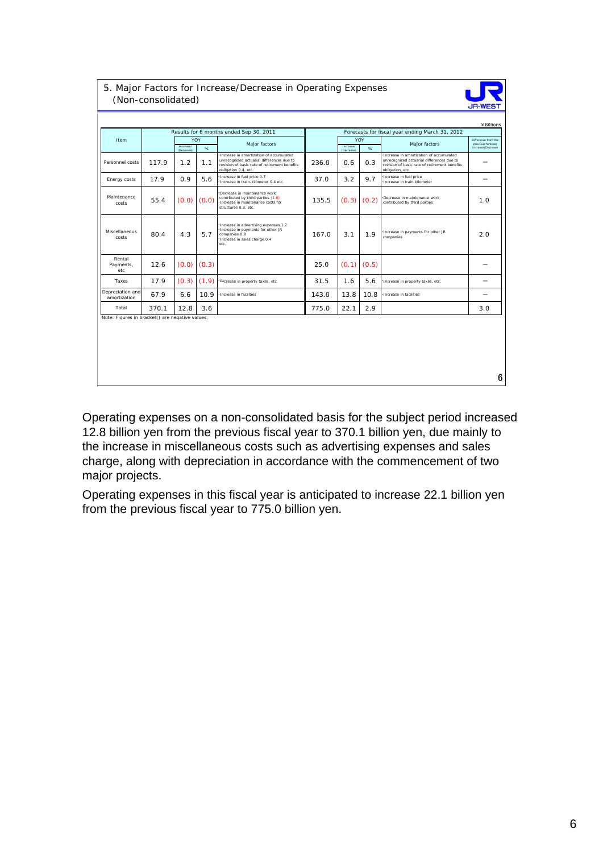|                                                 |       |                         |          | Results for 6 months ended Sep 30, 2011                                                                                                                       |       |                         |                      | Forecasts for fiscal year ending March 31, 2012                                                                                                           | ¥ Billions                                                    |
|-------------------------------------------------|-------|-------------------------|----------|---------------------------------------------------------------------------------------------------------------------------------------------------------------|-------|-------------------------|----------------------|-----------------------------------------------------------------------------------------------------------------------------------------------------------|---------------------------------------------------------------|
| Item                                            |       | Increase/<br>(Decrease) | YOY<br>% | Major factors                                                                                                                                                 |       | Increase/<br>(Decrease) | YOY<br>$\frac{1}{2}$ | Major factors                                                                                                                                             | Difference from the<br>previous forecast<br>Increase/Decrease |
| Personnel costs                                 | 117.9 | 1.2                     | 1.1      | Increase in amortization of accumulated<br>unrecognized actuarial differences due to<br>revision of basic rate of retirement benefits<br>obligation 0.4, etc. | 236.0 | 0.6                     | 0.3                  | Increase in amortization of accumulated<br>unrecognized actuarial differences due to<br>revision of basic rate of retirement benefits<br>obligation, etc. |                                                               |
| Energy costs                                    | 17.9  | 0.9                     | 5.6      | Increase in fuel price 0.7<br>Increase in train-kilometer 0.4 etc.                                                                                            | 37.0  | 3.2                     | 9.7                  | Increase in fuel price<br>Increase in train-kilometer                                                                                                     | -                                                             |
| Maintenance<br>costs                            | 55.4  | (0.0)                   | (0.0)    | Decrease in maintenance work<br>contributed by third parties (1.8)<br>Increase in maintenance costs for<br>structures 0.3. etc.                               | 135.5 | (0.3)                   | (0.2)                | Decrease in maintenance work<br>contributed by third parties                                                                                              | 1.0                                                           |
| Miscellaneous<br>costs                          | 80.4  | 4.3                     | 5.7      | Increase in advertising expenses 1.2<br>Increase in payments for other JR<br>companies 0.8<br>Increase in sales charge 0.4<br>etc.                            | 167.0 | 3.1                     | 1.9                  | Increase in payments for other JR<br>companies                                                                                                            | 2.0                                                           |
| Rental<br>Payments,<br>etc                      | 12.6  | (0.0)                   | (0.3)    |                                                                                                                                                               | 25.0  | (0.1)                   | (0.5)                |                                                                                                                                                           |                                                               |
| Taxes                                           | 17.9  | (0.3)                   | (1.9)    | Decrease in property taxes, etc.                                                                                                                              | 31.5  | 1.6                     | 5.6                  | Increase in property taxes, etc.                                                                                                                          |                                                               |
| Depreciation and<br>amortization                | 67.9  | 6.6                     | 10.9     | Increase in facilities                                                                                                                                        | 143.0 | 13.8                    | 10.8                 | Increase in facilities                                                                                                                                    |                                                               |
| Total                                           | 370.1 | 12.8                    | 3.6      |                                                                                                                                                               | 775.0 | 22.1                    | 2.9                  |                                                                                                                                                           | 3.0                                                           |
| Note: Figures in bracket() are negative values. |       |                         |          |                                                                                                                                                               |       |                         |                      |                                                                                                                                                           |                                                               |
|                                                 |       |                         |          |                                                                                                                                                               |       |                         |                      |                                                                                                                                                           |                                                               |

Operating expenses on a non-consolidated basis for the subject period increased 12.8 billion yen from the previous fiscal year to 370.1 billion yen, due mainly to the increase in miscellaneous costs such as advertising expenses and sales charge, along with depreciation in accordance with the commencement of two major projects.

Operating expenses in this fiscal year is anticipated to increase 22.1 billion yen from the previous fiscal year to 775.0 billion yen.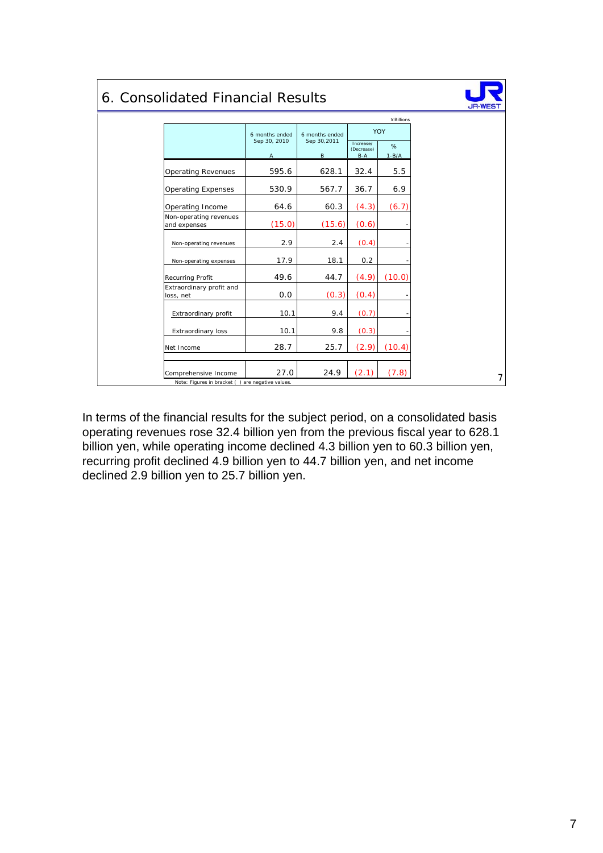# 6. Consolidated Financial Results



|                                        | 6 months ended<br>Sep 30, 2010 | 6 months ended<br>Sep 30,2011 |                                  | ¥ Billions<br>YOY |
|----------------------------------------|--------------------------------|-------------------------------|----------------------------------|-------------------|
|                                        | A                              | B                             | Increase/<br>(Decrease)<br>$B-A$ | %<br>$1 - B/A$    |
| <b>Operating Revenues</b>              | 595.6                          | 628.1                         | 32.4                             | 5.5               |
| <b>Operating Expenses</b>              | 530.9                          | 567.7                         | 36.7                             | 6.9               |
| Operating Income                       | 64.6                           | 60.3                          | (4.3)                            | (6.7)             |
| Non-operating revenues<br>and expenses | (15.0)                         | (15.6)                        | (0.6)                            |                   |
| Non-operating revenues                 | 2.9                            | 2.4                           | (0.4)                            |                   |
| Non-operating expenses                 | 17.9                           | 18.1                          | 0.2                              |                   |
| <b>Recurring Profit</b>                | 49.6                           | 44.7                          | (4.9)                            | (10.0)            |
| Extraordinary profit and<br>loss, net  | 0.0                            | (0.3)                         | (0.4)                            |                   |
| Extraordinary profit                   | 10.1                           | 9.4                           | (0.7)                            |                   |
| Extraordinary loss                     | 10.1                           | 9.8                           | (0.3)                            |                   |
| Net Income                             | 28.7                           | 25.7                          | (2.9)                            | (10.4)            |
| Comprehensive Income                   | 27.0                           | 24.9                          | (2.1)                            | (7.8)             |

In terms of the financial results for the subject period, on a consolidated basis operating revenues rose 32.4 billion yen from the previous fiscal year to 628.1 billion yen, while operating income declined 4.3 billion yen to 60.3 billion yen, recurring profit declined 4.9 billion yen to 44.7 billion yen, and net income declined 2.9 billion yen to 25.7 billion yen.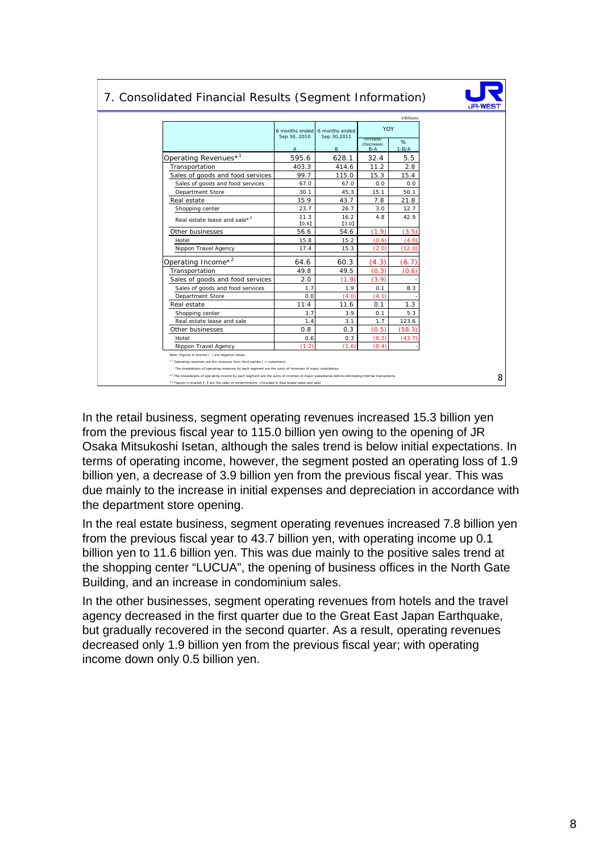|                                          |                                |                               |                                  | ¥ Billions     |
|------------------------------------------|--------------------------------|-------------------------------|----------------------------------|----------------|
|                                          | 6 months ended<br>Sep 30, 2010 | 6 months ended<br>Sep 30,2011 | <b>YOY</b>                       |                |
|                                          | A                              | B                             | Increase/<br>(Decrease)<br>$B-A$ | %<br>$1 - B/A$ |
| Operating Revenues* <sup>1</sup>         | 595.6                          | 628.1                         | 32.4                             | 5.5            |
| Transportation                           | 403.3                          | 414.6                         | 11.2                             | 2.8            |
| Sales of goods and food services         | 99.7                           | 115.0                         | 15.3                             | 15.4           |
| Sales of goods and food services         | 67.0                           | 67.0                          | 0.0                              | 0.0            |
| Department Store                         | 30.1                           | 45.3                          | 15.1                             | 50.1           |
| Real estate                              | 35.9                           | 43.7                          | 7.8                              | 21.8           |
| Shopping center                          | 23.7                           | 26.7                          | 3.0                              | 12.7           |
| Real estate lease and sale* <sup>3</sup> | 11.3<br>[0.6]                  | 16.2<br>[3.0]                 | 4.8                              | 42.9           |
| Other businesses                         | 56.6                           | 54.6                          | (1.9)                            | (3.5)          |
| Hotel                                    | 15.8                           | 15.2                          | (0.6)                            | (4.0)          |
| Nippon Travel Agency                     | 17.4                           | 15.3                          | (2.0)                            | (12.0)         |
| Operating Income* <sup>2</sup>           | 64.6                           | 60.3                          | (4.3)                            | (6.7)          |
| Transportation                           | 49.8                           | 49.5                          | (0.3)                            | (0.6)          |
| Sales of goods and food services         | 2.0                            | (1.9)                         | (3.9)                            |                |
| Sales of goods and food services         | 1.7                            | 1.9                           | 0.1                              | 8.3            |
| Department Store                         | 0.0                            | (4.0)                         | (4.1)                            |                |
| Real estate                              | 11.4                           | 11.6                          | 0.1                              | 1.3            |
| Shopping center                          | 3.7                            | 3.9                           | 0.1                              | 5.3            |
| Real estate lease and sale               | 1.4                            | 3.1                           | 1.7                              | 123.6          |
| Other businesses                         | 0.8                            | 0.3                           | (0.5)                            | (58.3)         |
| Hotel                                    | 0.6                            | 0.3                           | (0.2)                            | (43.7)         |
| Nippon Travel Agency                     | (1.2)                          | (1.6)                         | (0.4)                            |                |

#### 7. Consolidated Financial Results (Segment Information)

In the retail business, segment operating revenues increased 15.3 billion yen from the previous fiscal year to 115.0 billion yen owing to the opening of JR Osaka Mitsukoshi Isetan, although the sales trend is below initial expectations. In terms of operating income, however, the segment posted an operating loss of 1.9 billion yen, a decrease of 3.9 billion yen from the previous fiscal year. This was due mainly to the increase in initial expenses and depreciation in accordance with the department store opening.

In the real estate business, segment operating revenues increased 7.8 billion yen from the previous fiscal year to 43.7 billion yen, with operating income up 0.1 billion yen to 11.6 billion yen. This was due mainly to the positive sales trend at the shopping center "LUCUA", the opening of business offices in the North Gate Building, and an increase in condominium sales.

In the other businesses, segment operating revenues from hotels and the travel agency decreased in the first quarter due to the Great East Japan Earthquake, but gradually recovered in the second quarter. As a result, operating revenues decreased only 1.9 billion yen from the previous fiscal year; with operating income down only 0.5 billion yen.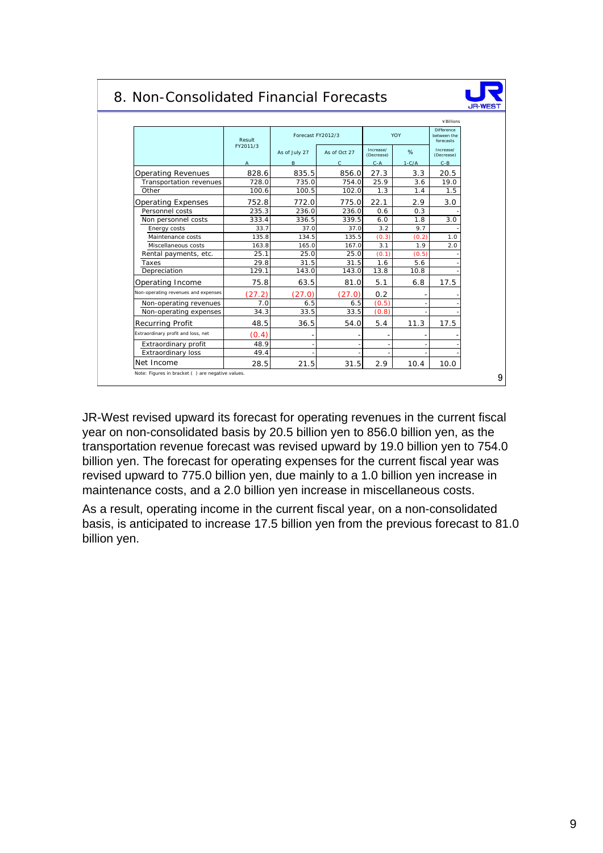## 8. Non-Consolidated Financial Forecasts



|                                     | Result         |               | Forecast FY2012/3 |                         | YOY     | <b>Difference</b><br>between the<br>forecasts |
|-------------------------------------|----------------|---------------|-------------------|-------------------------|---------|-----------------------------------------------|
|                                     | FY2011/3       | As of July 27 | As of Oct 27      | Increase/<br>(Decrease) | %       | Increase/<br>(Decrease)                       |
|                                     | $\overline{A}$ | B             | $\mathsf{C}$      | $C - A$                 | $1-C/A$ | $C - B$                                       |
| <b>Operating Revenues</b>           | 828.6          | 835.5         | 856.0             | 27.3                    | 3.3     | 20.5                                          |
| Transportation revenues             | 728.0          | 735.0         | 754.0             | 25.9                    | 3.6     | 19.0                                          |
| Other                               | 100.6          | 100.5         | 102.0             | 1.3                     | 1.4     | 1.5                                           |
| <b>Operating Expenses</b>           | 752.8          | 772.0         | 775.0             | 22.1                    | 2.9     | 3.0                                           |
| Personnel costs                     | 235.3          | 236.0         | 236.0             | 0.6                     | 0.3     |                                               |
| Non personnel costs                 | 333.4          | 336.5         | 339.5             | 6.0                     | 1.8     | 3.0                                           |
| Energy costs                        | 33.7           | 37.0          | 37.0              | 3.2                     | 9.7     |                                               |
| Maintenance costs                   | 135.8          | 134.5         | 135.5             | (0.3)                   | (0.2)   | 1.0                                           |
| Miscellaneous costs                 | 163.8          | 165.0         | 167.0             | 3.1                     | 1.9     | 2.0                                           |
| Rental payments, etc.               | 25.1           | 25.0          | 25.0              | (0.1)                   | (0.5)   |                                               |
| Taxes                               | 29.8           | 31.5          | 31.5              | 1.6                     | 5.6     |                                               |
| Depreciation                        | 129.1          | 143.0         | 143.0             | 13.8                    | 10.8    |                                               |
| Operating Income                    | 75.8           | 63.5          | 81.0              | 5.1                     | 6.8     | 17.5                                          |
| Non-operating revenues and expenses | (27.2)         | (27.0)        | (27.0)            | 0.2                     |         |                                               |
| Non-operating revenues              | 7.0            | 6.5           | 6.5               | (0.5)                   |         |                                               |
| Non-operating expenses              | 34.3           | 33.5          | 33.5              | (0.8)                   |         |                                               |
| Recurring Profit                    | 48.5           | 36.5          | 54.0              | 5.4                     | 11.3    | 17.5                                          |
| Extraordinary profit and loss, net  | (0.4)          |               |                   |                         |         |                                               |
| Extraordinary profit                | 48.9           |               |                   |                         |         |                                               |
| <b>Extraordinary loss</b>           | 49.4           |               |                   |                         |         |                                               |
| Net Income                          | 28.5           | 21.5          | 31.5              | 2.9                     | 10.4    | 10.0                                          |

JR-West revised upward its forecast for operating revenues in the current fiscal year on non-consolidated basis by 20.5 billion yen to 856.0 billion yen, as the transportation revenue forecast was revised upward by 19.0 billion yen to 754.0 billion yen. The forecast for operating expenses for the current fiscal year was revised upward to 775.0 billion yen, due mainly to a 1.0 billion yen increase in maintenance costs, and a 2.0 billion yen increase in miscellaneous costs.

As a result, operating income in the current fiscal year, on a non-consolidated basis, is anticipated to increase 17.5 billion yen from the previous forecast to 81.0 billion yen.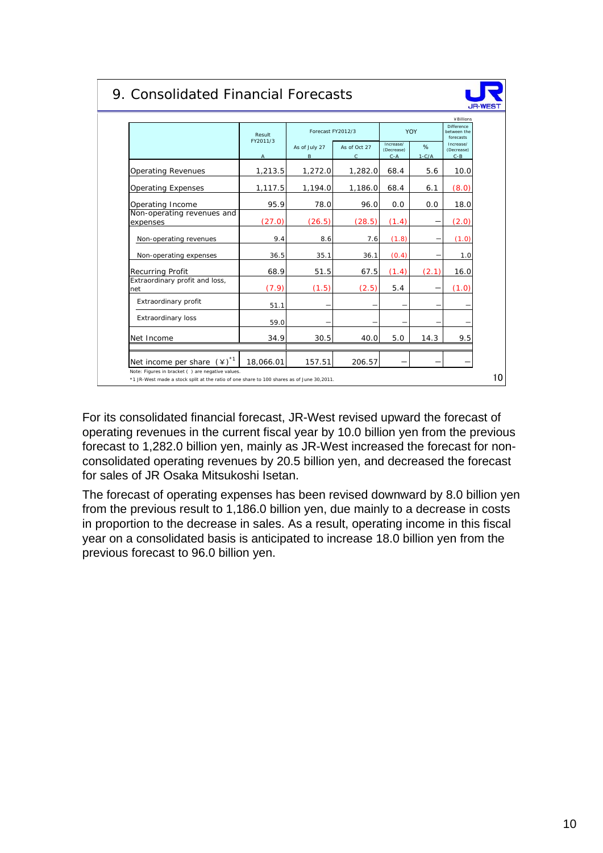## 9. Consolidated Financial Forecasts



|                                                 | Result                   | Forecast FY2012/3  |                              |                                    | YOY          | Difference<br>between the<br>forecasts |
|-------------------------------------------------|--------------------------|--------------------|------------------------------|------------------------------------|--------------|----------------------------------------|
|                                                 | FY2011/3<br>$\mathsf{A}$ | As of July 27<br>B | As of Oct 27<br>$\mathsf{C}$ | Increase/<br>(Decrease)<br>$C - A$ | %<br>$1-C/A$ | Increase/<br>(Decrease)<br>$C - B$     |
| <b>Operating Revenues</b>                       | 1,213.5                  | 1,272.0            | 1,282.0                      | 68.4                               | 5.6          | 10.0                                   |
| <b>Operating Expenses</b>                       | 1,117.5                  | 1,194.0            | 1,186.0                      | 68.4                               | 6.1          | (8.0)                                  |
| Operating Income                                | 95.9                     | 78.0               | 96.0                         | 0.0                                | 0.0          | 18.0                                   |
| Non-operating revenues and<br>expenses          | (27.0)                   | (26.5)             | (28.5)                       | (1.4)                              |              | (2.0)                                  |
| Non-operating revenues                          | 9.4                      | 8.6                | 7.6                          | (1.8)                              |              | (1.0)                                  |
| Non-operating expenses                          | 36.5                     | 35.1               | 36.1                         | (0.4)                              |              | 1.0                                    |
| Recurring Profit                                | 68.9                     | 51.5               | 67.5                         | (1.4)                              | (2.1)        | 16.0                                   |
| Extraordinary profit and loss,<br>net           | (7.9)                    | (1.5)              | (2.5)                        | 5.4                                |              | (1.0)                                  |
| Extraordinary profit                            | 51.1                     |                    |                              |                                    |              |                                        |
| <b>Extraordinary loss</b>                       | 59.0                     |                    |                              |                                    |              |                                        |
| Net Income                                      | 34.9                     | 30.5               | 40.0                         | 5.0                                | 14.3         | 9.5                                    |
| $(\yen)^*$ <sup>1</sup><br>Net income per share | 18,066.01                | 157.51             | 206.57                       |                                    |              |                                        |

For its consolidated financial forecast, JR-West revised upward the forecast of operating revenues in the current fiscal year by 10.0 billion yen from the previous forecast to 1,282.0 billion yen, mainly as JR-West increased the forecast for nonconsolidated operating revenues by 20.5 billion yen, and decreased the forecast for sales of JR Osaka Mitsukoshi Isetan.

The forecast of operating expenses has been revised downward by 8.0 billion yen from the previous result to 1,186.0 billion yen, due mainly to a decrease in costs in proportion to the decrease in sales. As a result, operating income in this fiscal year on a consolidated basis is anticipated to increase 18.0 billion yen from the previous forecast to 96.0 billion yen.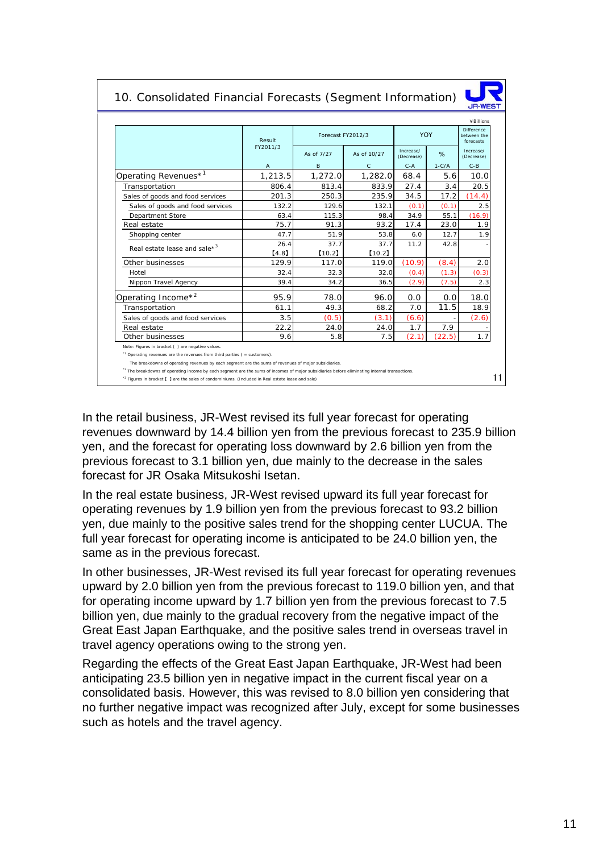### 10. Consolidated Financial Forecasts (Segment Information)



11

|                                          | Result         | Forecast FY2012/3 |                | YOY                     |         | Difference<br>between the<br>forecasts |
|------------------------------------------|----------------|-------------------|----------------|-------------------------|---------|----------------------------------------|
|                                          | FY2011/3       | As of 7/27        | As of 10/27    | Increase/<br>(Decrease) | $\%$    | Increase/<br>(Decrease)                |
|                                          | $\overline{A}$ | B                 | $\mathsf{C}$   | $C - A$                 | $1-C/A$ | $C - B$                                |
| Operating Revenues* <sup>1</sup>         | 1,213.5        | 1,272.0           | 1,282.0        | 68.4                    | 5.6     | 10.0                                   |
| Transportation                           | 806.4          | 813.4             | 833.9          | 27.4                    | 3.4     | 20.5                                   |
| Sales of goods and food services         | 201.3          | 250.3             | 235.9          | 34.5                    | 17.2    | (14.4)                                 |
| Sales of goods and food services         | 132.2          | 129.6             | 132.1          | (0.1)                   | (0.1)   | 2.5                                    |
| Department Store                         | 63.4           | 115.3             | 98.4           | 34.9                    | 55.1    | (16.9)                                 |
| Real estate                              | 75.7           | 91.3              | 93.2           | 17.4                    | 23.0    | 1.9                                    |
| Shopping center                          | 47.7           | 51.9              | 53.8           | 6.0                     | 12.7    | 1.9                                    |
| Real estate lease and sale* <sup>3</sup> | 26.4<br>[4.8]  | 37.7<br>[10.2]    | 37.7<br>[10.2] | 11.2                    | 42.8    |                                        |
| Other businesses                         | 129.9          | 117.0             | 119.0          | (10.9)                  | (8.4)   | 2.0                                    |
| Hotel                                    | 32.4           | 32.3              | 32.0           | (0.4)                   | (1.3)   | (0.3)                                  |
| Nippon Travel Agency                     | 39.4           | 34.2              | 36.5           | (2.9)                   | (7.5)   | 2.3                                    |
| Operating Income* <sup>2</sup>           | 95.9           | 78.0              | 96.0           | 0.0                     | 0.0     | 18.0                                   |
| Transportation                           | 61.1           | 49.3              | 68.2           | 7.0                     | 11.5    | 18.9                                   |
| Sales of goods and food services         | 3.5            | (0.5)             | (3.1)          | (6.6)                   |         | (2.6)                                  |
| Real estate                              | 22.2           | 24.0              | 24.0           | 1.7                     | 7.9     |                                        |
| Other businesses                         | 9.6            | 5.8               | 7.5            | (2.1)                   | (22.5)  | 1.7                                    |

In the retail business, JR-West revised its full year forecast for operating revenues downward by 14.4 billion yen from the previous forecast to 235.9 billion yen, and the forecast for operating loss downward by 2.6 billion yen from the previous forecast to 3.1 billion yen, due mainly to the decrease in the sales forecast for JR Osaka Mitsukoshi Isetan.

\*3 Figures in bracket 【 】 are the sales of condominiums. (Included in Real estate lease and sale)

In the real estate business, JR-West revised upward its full year forecast for operating revenues by 1.9 billion yen from the previous forecast to 93.2 billion yen, due mainly to the positive sales trend for the shopping center LUCUA. The full year forecast for operating income is anticipated to be 24.0 billion yen, the same as in the previous forecast.

In other businesses, JR-West revised its full year forecast for operating revenues upward by 2.0 billion yen from the previous forecast to 119.0 billion yen, and that for operating income upward by 1.7 billion yen from the previous forecast to 7.5 billion yen, due mainly to the gradual recovery from the negative impact of the Great East Japan Earthquake, and the positive sales trend in overseas travel in travel agency operations owing to the strong yen.

Regarding the effects of the Great East Japan Earthquake, JR-West had been anticipating 23.5 billion yen in negative impact in the current fiscal year on a consolidated basis. However, this was revised to 8.0 billion yen considering that no further negative impact was recognized after July, except for some businesses such as hotels and the travel agency.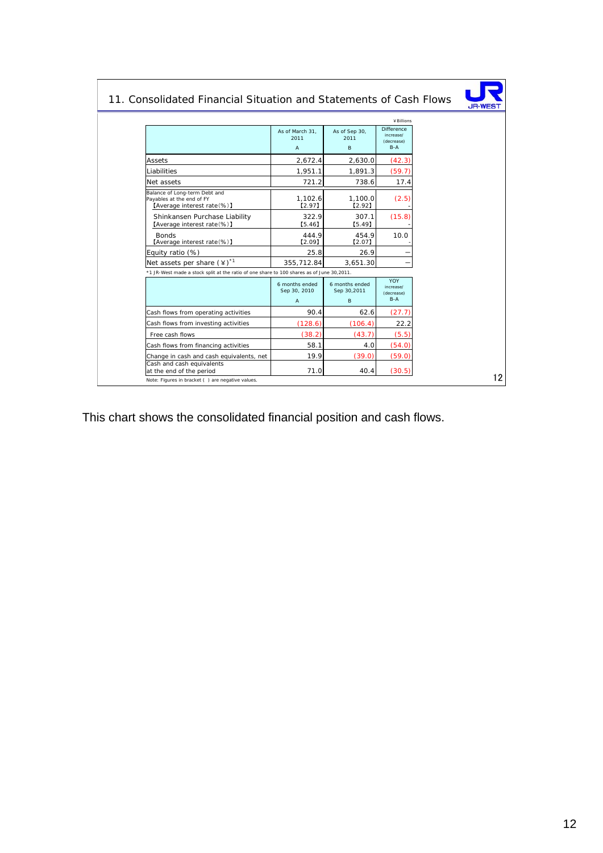|                                                                                           |                                                  |                                    | ¥ Billions                                     |  |
|-------------------------------------------------------------------------------------------|--------------------------------------------------|------------------------------------|------------------------------------------------|--|
|                                                                                           | As of March 31.<br>2011<br>$\overline{A}$        | As of Sep 30,<br>2011<br>B         | Difference<br>increase/<br>(decrease)<br>$B-A$ |  |
| Assets                                                                                    | 2,672.4                                          | 2,630.0                            | (42.3)                                         |  |
| Liabilities                                                                               | 1,951.1                                          | 1,891.3                            | (59.7)                                         |  |
| Net assets                                                                                | 721.2                                            | 738.6                              | 17.4                                           |  |
| Balance of Long-term Debt and<br>Payables at the end of FY<br>[Average interest rate(%)]  | 1,102.6<br>$[2.97]$                              | 1,100.0<br>[2.92]                  | (2.5)                                          |  |
| Shinkansen Purchase Liability<br>[Average interest rate(%)]                               | 322.9<br>[5.46]                                  | 307.1<br>[5.49]                    | (15.8)                                         |  |
| <b>Bonds</b><br>[Average interest rate(%)]                                                | 444.9<br>[2.09]                                  | 454.9<br>$[2.07]$                  | 10.0                                           |  |
| Equity ratio (%)                                                                          | 25.8                                             | 26.9                               |                                                |  |
| Net assets per share $(4)^{*1}$                                                           | 355,712.84                                       | 3,651.30                           |                                                |  |
| *1 JR-West made a stock split at the ratio of one share to 100 shares as of June 30,2011. |                                                  |                                    |                                                |  |
|                                                                                           | 6 months ended<br>Sep 30, 2010<br>$\overline{A}$ | 6 months ended<br>Sep 30,2011<br>B | YOY<br>increase/<br>(decrease)<br>$B-A$        |  |
| Cash flows from operating activities                                                      | 90.4                                             | 62.6                               | (27.7)                                         |  |
| Cash flows from investing activities                                                      | (128.6)                                          | (106.4)                            | 22.2                                           |  |
| Free cash flows                                                                           | (38.2)                                           | (43.7)                             | (5.5)                                          |  |
| Cash flows from financing activities                                                      | 58.1                                             | 4.0                                | (54.0)                                         |  |
| Change in cash and cash equivalents, net                                                  | 19.9                                             | (39.0)                             | (59.0)                                         |  |
| Cash and cash equivalents<br>at the end of the period                                     | 71.0                                             | 40.4                               | (30.5)                                         |  |

This chart shows the consolidated financial position and cash flows.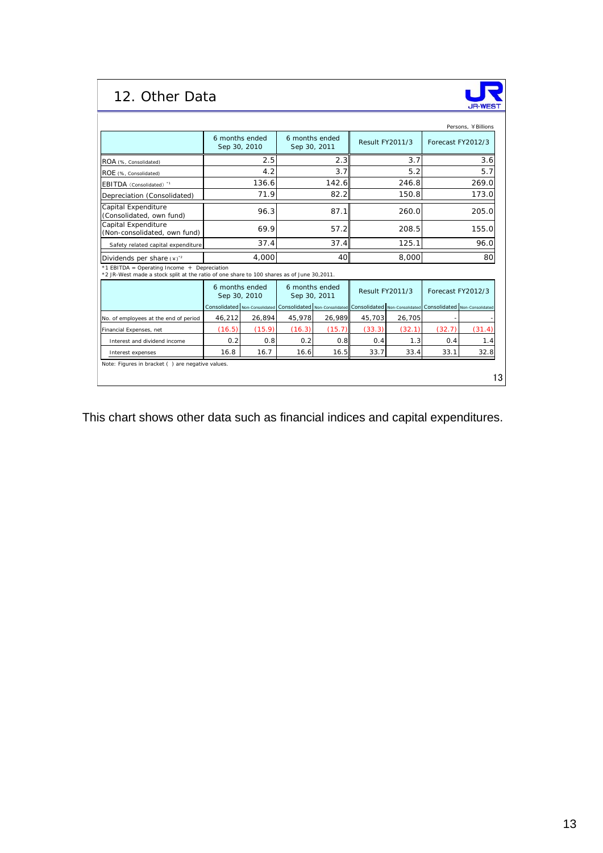# 12. Other Data



|                                                                                                                                            |                                | 6 months ended<br>6 months ended<br>Sep 30, 2010<br>Sep 30, 2011 |                                                             |        | Result FY2011/3 |        | Persons, ¥Billions<br>Forecast FY2012/3                     |        |
|--------------------------------------------------------------------------------------------------------------------------------------------|--------------------------------|------------------------------------------------------------------|-------------------------------------------------------------|--------|-----------------|--------|-------------------------------------------------------------|--------|
| ROA (%, Consolidated)                                                                                                                      |                                | 2.5                                                              |                                                             | 2.3    |                 | 3.7    |                                                             | 3.6    |
| ROE (%, Consolidated)                                                                                                                      |                                | 4.2                                                              | 3.7                                                         |        | 5.2             |        | 5.7                                                         |        |
| EBITDA (Consolidated) "                                                                                                                    |                                | 136.6                                                            | 142.6                                                       |        | 246.8           |        | 269.0                                                       |        |
| Depreciation (Consolidated)                                                                                                                |                                | 71.9                                                             | 82.2                                                        |        | 150.8           |        | 173.0                                                       |        |
| Capital Expenditure<br>(Consolidated, own fund)                                                                                            |                                | 96.3                                                             | 87.1                                                        |        | 260.0           |        | 205.0                                                       |        |
| Capital Expenditure<br>(Non-consolidated, own fund)                                                                                        |                                | 69.9                                                             | 57.2                                                        |        | 208.5           |        | 155.0                                                       |        |
| Safety related capital expenditure                                                                                                         |                                | 37.4                                                             | 37.4                                                        |        | 125.1           |        | 96.0                                                        |        |
| Dividends per share $(*)$ <sup>2</sup>                                                                                                     |                                | 4.000                                                            | 40                                                          |        | 8,000           |        | 80                                                          |        |
| *1 EBITDA = Operating Income $+$ Depreciation<br>*2 JR-West made a stock split at the ratio of one share to 100 shares as of June 30,2011. |                                |                                                                  |                                                             |        |                 |        |                                                             |        |
|                                                                                                                                            | 6 months ended<br>Sep 30, 2010 |                                                                  | 6 months ended<br>Sep 30, 2011                              |        | Result FY2011/3 |        | Forecast FY2012/3                                           |        |
|                                                                                                                                            |                                |                                                                  | Consolidated Non-Consolidated Consolidated Non-Consolidated |        |                 |        | Consolidated Non-Consolidated Consolidated Non-Consolidated |        |
| No. of employees at the end of period                                                                                                      | 46,212                         | 26,894                                                           | 45,978                                                      | 26,989 | 45,703          | 26,705 |                                                             |        |
| Financial Expenses, net                                                                                                                    | (16.5)                         | (15.9)                                                           | (16.3)                                                      | (15.7) | (33.3)          | (32.1) | (32.7)                                                      | (31.4) |
| Interest and dividend income                                                                                                               | 0.2                            | 0.8                                                              | 0.2                                                         | 0.8    | 0.4             | 1.3    | 0.4                                                         | 1.4    |
| Interest expenses                                                                                                                          | 16.8                           | 16.7                                                             | 16.6                                                        | 16.5   | 33.7            | 33.4   | 33.1                                                        | 32.8   |

This chart shows other data such as financial indices and capital expenditures.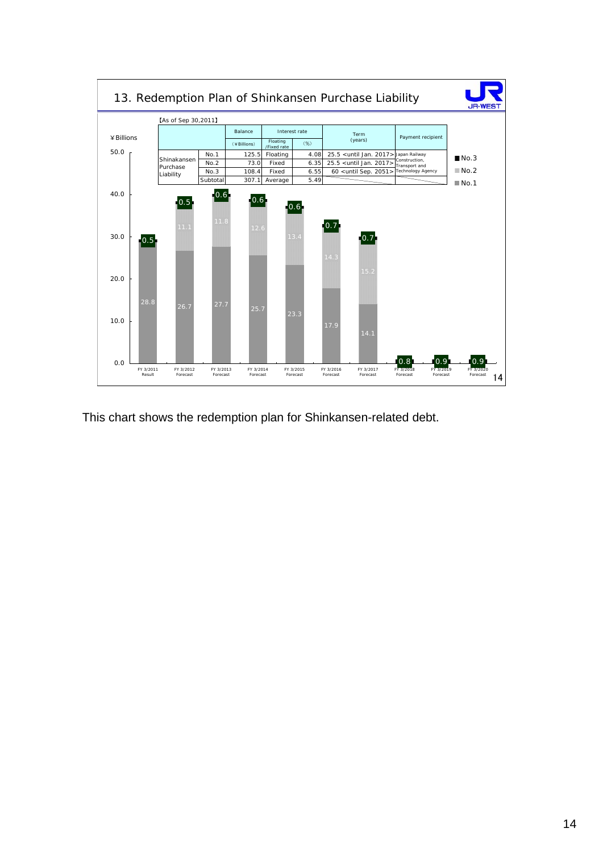

This chart shows the redemption plan for Shinkansen-related debt.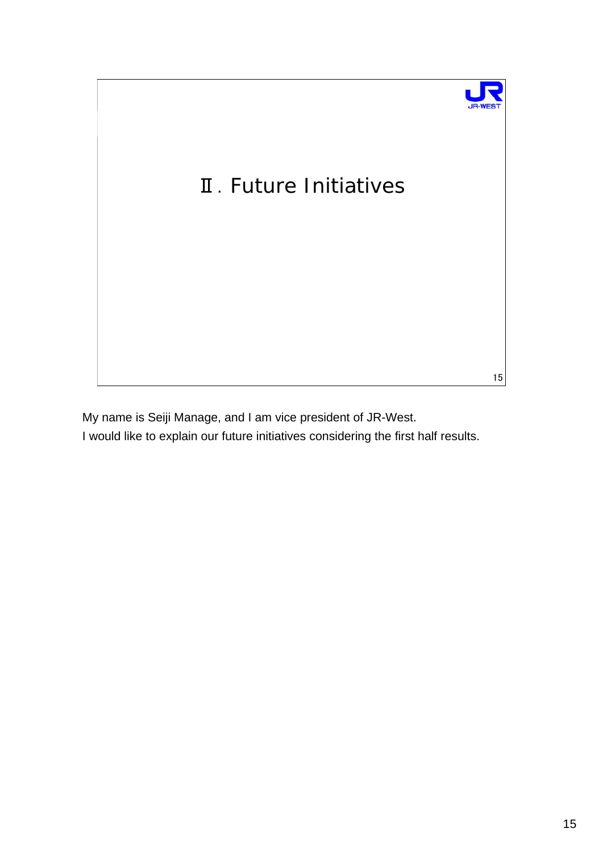

My name is Seiji Manage, and I am vice president of JR-West. I would like to explain our future initiatives considering the first half results.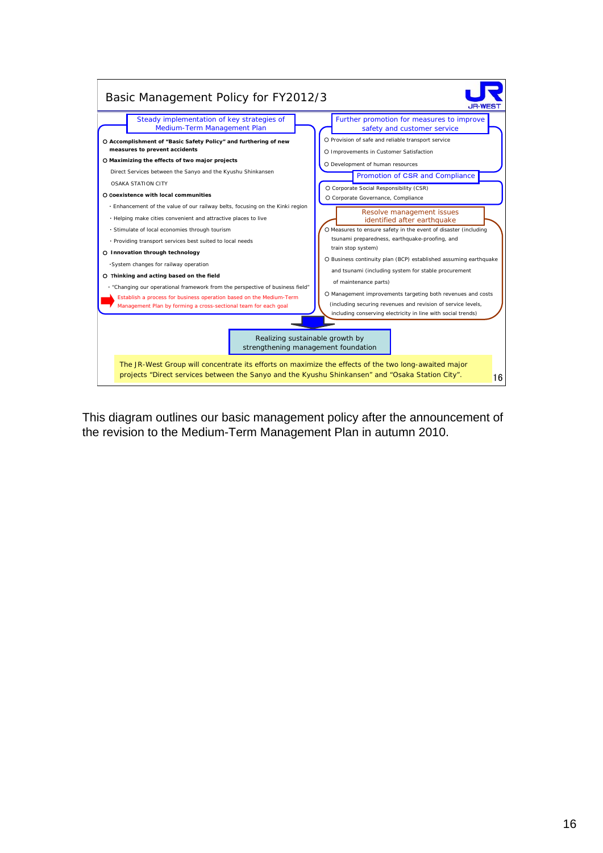

This diagram outlines our basic management policy after the announcement of the revision to the Medium-Term Management Plan in autumn 2010.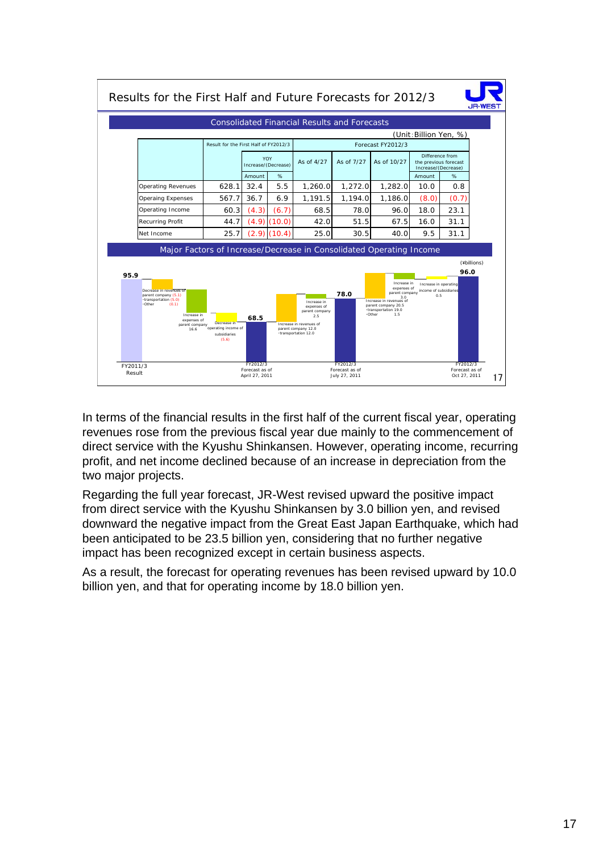

In terms of the financial results in the first half of the current fiscal year, operating revenues rose from the previous fiscal year due mainly to the commencement of direct service with the Kyushu Shinkansen. However, operating income, recurring profit, and net income declined because of an increase in depreciation from the two major projects.

Regarding the full year forecast, JR-West revised upward the positive impact from direct service with the Kyushu Shinkansen by 3.0 billion yen, and revised downward the negative impact from the Great East Japan Earthquake, which had been anticipated to be 23.5 billion yen, considering that no further negative impact has been recognized except in certain business aspects.

As a result, the forecast for operating revenues has been revised upward by 10.0 billion yen, and that for operating income by 18.0 billion yen.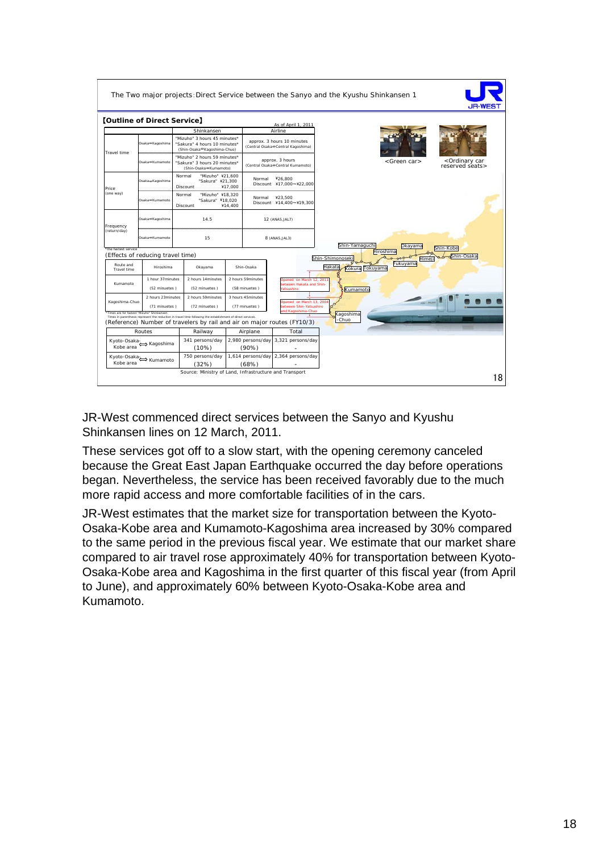|                                   | <b>[Outline of Direct Service]</b>                                                                             |                                                                                       |                                                                                                             |                |                                                     |                                                                          |                           |                 |                        |                                                   |                         |
|-----------------------------------|----------------------------------------------------------------------------------------------------------------|---------------------------------------------------------------------------------------|-------------------------------------------------------------------------------------------------------------|----------------|-----------------------------------------------------|--------------------------------------------------------------------------|---------------------------|-----------------|------------------------|---------------------------------------------------|-------------------------|
|                                   |                                                                                                                |                                                                                       | Shinkansen                                                                                                  |                |                                                     | As of April 1, 2011<br>Airline                                           |                           |                 |                        |                                                   |                         |
|                                   | "Mizuho" 3 hours 45 minutes*<br>Osaka⇔Kaqoshima<br>"Sakura" 4 hours 10 minutes*<br>(Shin-Osaka⇔Kaqoshima-Chuo) |                                                                                       | approx. 3 hours 10 minutes<br>(Central Osaka⇔Central Kagoshima)                                             |                |                                                     |                                                                          |                           |                 |                        |                                                   |                         |
| Travel time                       | Osaka⇔Kumamoto                                                                                                 | "Mizuho" 2 hours 59 minutes*<br>"Sakura" 3 hours 20 minutes*<br>(Shin-Osaka⇔Kumamoto) |                                                                                                             |                | approx. 3 hours<br>(Central Osaka⇔Central Kumamoto) |                                                                          |                           |                 | <green car=""></green> | <ordinary car<br="">reserved seats&gt;</ordinary> |                         |
| Price                             | Osaka <sup>®</sup> Kagoshima                                                                                   | Normal                                                                                | "Mizuho" ¥21.600<br>"Sakura" ¥21.300<br>Discount                                                            | ¥17.000        | Normal                                              | ¥26.800<br>Discount ¥17,000~¥22,000                                      |                           |                 |                        |                                                   |                         |
| (one way)                         | Osaka<br>Kumamoto                                                                                              | Normal                                                                                | "Mizuho" ¥18,320<br>"Sakura" ¥18.020<br>Discount                                                            | ¥14.400        | Normal                                              | ¥23.500<br>Discount ¥14,400~¥19,300                                      |                           |                 |                        |                                                   |                         |
| Frequency                         | Osaka®Kagoshima                                                                                                | 14.5                                                                                  |                                                                                                             |                | 12 (ANA5, JAL7)                                     |                                                                          |                           |                 |                        |                                                   |                         |
| (return/day)                      | Osaka<br>Kumamoto                                                                                              | 15                                                                                    |                                                                                                             | 8 (ANA5, JAL3) |                                                     |                                                                          | Shin-Yamaguchi            |                 | Okavama                |                                                   |                         |
| *the fastest service              | (Effects of reducing travel time)                                                                              |                                                                                       |                                                                                                             |                |                                                     |                                                                          |                           |                 | Hiroshima              |                                                   | Shin-Kobe<br>Shin-Osaka |
| Route and<br>Travel time          | Hiroshima                                                                                                      |                                                                                       | Okayama                                                                                                     |                | Shin-Osaka                                          |                                                                          | Shin-Shimonosek<br>Hakata | Kokura Tokuyama | Fukuyama               | Hime                                              |                         |
| Kumamoto                          |                                                                                                                | 1 hour 37minutes<br>2 hours 14 minutes                                                |                                                                                                             |                | 2 hours 59minutes                                   | Doened on March 12, 2011<br>etween Hakata and Shin-                      |                           |                 |                        |                                                   |                         |
|                                   | (52 minuetes)                                                                                                  |                                                                                       | (52 minuetes)                                                                                               |                | (58 minuetes)                                       | atsushiro                                                                |                           | Kumamoto        |                        |                                                   |                         |
| Kagoshima-Chuo                    | 2 hours 23 minutes<br>(71 minuetes)                                                                            |                                                                                       | 2 hours 59minutes<br>(72 minuetes)                                                                          |                | 3 hours 45minutes<br>(77 minuetes)                  | Opened on March 13, 200<br>between Shin-Yatsushiro                       |                           |                 |                        |                                                   |                         |
|                                   | "Times are for fastest "Mizuho" Shinkansen.                                                                    |                                                                                       | Times in parenthesis represent the reduciton in travel time following the establishment of direct services. |                |                                                     | nd Kagoshima-Chuo                                                        | (agoshima<br>-Chuo        |                 |                        |                                                   |                         |
|                                   |                                                                                                                |                                                                                       |                                                                                                             |                |                                                     | (Reference) Number of travelers by rail and air on major routes (FY10/3) |                           |                 |                        |                                                   |                         |
| Routes                            |                                                                                                                |                                                                                       | Railway                                                                                                     |                | Airplane                                            | Total                                                                    |                           |                 |                        |                                                   |                         |
| Kyoto-Osaka-<br>Kagoshima         |                                                                                                                |                                                                                       | 341 persons/day<br>(10%)                                                                                    |                | $(90\%)$                                            | 2,980 persons/day 3,321 persons/day                                      |                           |                 |                        |                                                   |                         |
| Kyoto-Osaka Kumamoto<br>Kobe area |                                                                                                                |                                                                                       | 750 persons/day<br>(32%)                                                                                    |                |                                                     | 1,614 persons/day 2,364 persons/day                                      |                           |                 |                        |                                                   |                         |

JR-West commenced direct services between the Sanyo and Kyushu Shinkansen lines on 12 March, 2011.

These services got off to a slow start, with the opening ceremony canceled because the Great East Japan Earthquake occurred the day before operations began. Nevertheless, the service has been received favorably due to the much more rapid access and more comfortable facilities of in the cars.

JR-West estimates that the market size for transportation between the Kyoto-Osaka-Kobe area and Kumamoto-Kagoshima area increased by 30% compared to the same period in the previous fiscal year. We estimate that our market share compared to air travel rose approximately 40% for transportation between Kyoto-Osaka-Kobe area and Kagoshima in the first quarter of this fiscal year (from April to June), and approximately 60% between Kyoto-Osaka-Kobe area and Kumamoto.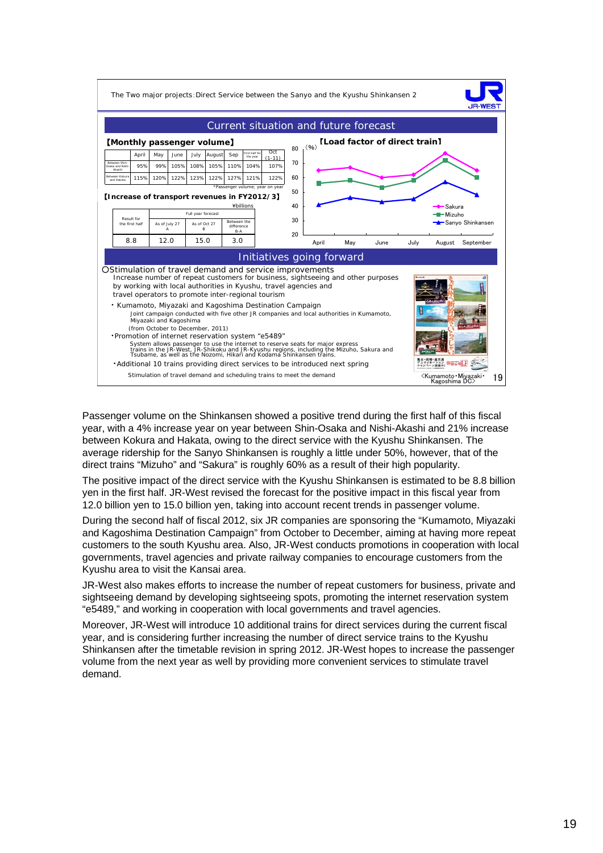

Passenger volume on the Shinkansen showed a positive trend during the first half of this fiscal year, with a 4% increase year on year between Shin-Osaka and Nishi-Akashi and 21% increase between Kokura and Hakata, owing to the direct service with the Kyushu Shinkansen. The average ridership for the Sanyo Shinkansen is roughly a little under 50%, however, that of the direct trains "Mizuho" and "Sakura" is roughly 60% as a result of their high popularity.

The positive impact of the direct service with the Kyushu Shinkansen is estimated to be 8.8 billion yen in the first half. JR-West revised the forecast for the positive impact in this fiscal year from 12.0 billion yen to 15.0 billion yen, taking into account recent trends in passenger volume.

During the second half of fiscal 2012, six JR companies are sponsoring the "Kumamoto, Miyazaki and Kagoshima Destination Campaign" from October to December, aiming at having more repeat customers to the south Kyushu area. Also, JR-West conducts promotions in cooperation with local governments, travel agencies and private railway companies to encourage customers from the Kyushu area to visit the Kansai area.

JR-West also makes efforts to increase the number of repeat customers for business, private and sightseeing demand by developing sightseeing spots, promoting the internet reservation system "e5489," and working in cooperation with local governments and travel agencies.

Moreover, JR-West will introduce 10 additional trains for direct services during the current fiscal year, and is considering further increasing the number of direct service trains to the Kyushu Shinkansen after the timetable revision in spring 2012. JR-West hopes to increase the passenger volume from the next year as well by providing more convenient services to stimulate travel demand.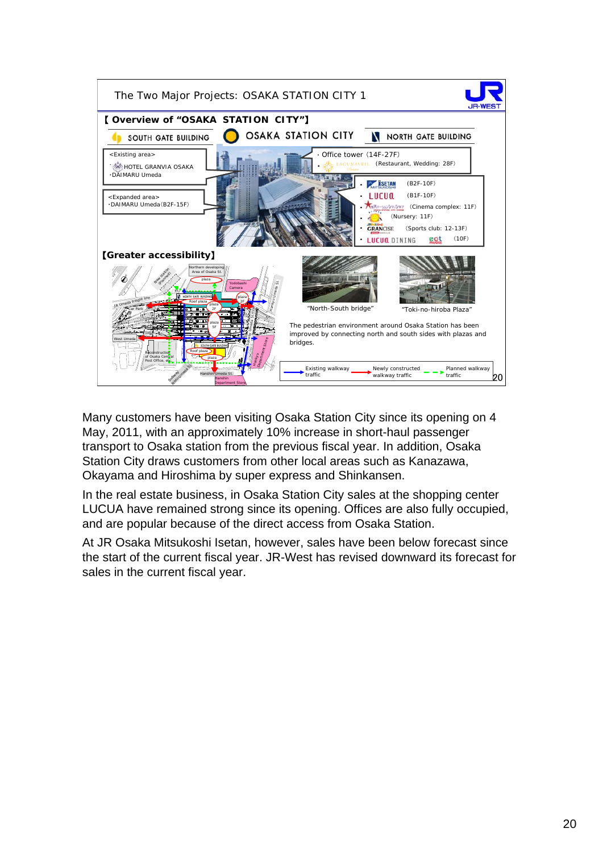

Many customers have been visiting Osaka Station City since its opening on 4 May, 2011, with an approximately 10% increase in short-haul passenger transport to Osaka station from the previous fiscal year. In addition, Osaka Station City draws customers from other local areas such as Kanazawa, Okayama and Hiroshima by super express and Shinkansen.

In the real estate business, in Osaka Station City sales at the shopping center LUCUA have remained strong since its opening. Offices are also fully occupied, and are popular because of the direct access from Osaka Station.

At JR Osaka Mitsukoshi Isetan, however, sales have been below forecast since the start of the current fiscal year. JR-West has revised downward its forecast for sales in the current fiscal year.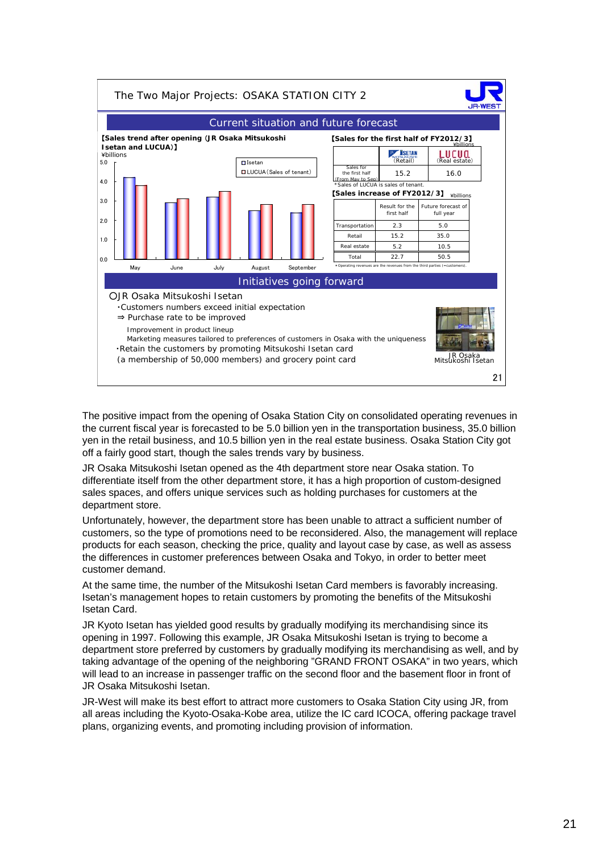

The positive impact from the opening of Osaka Station City on consolidated operating revenues in the current fiscal year is forecasted to be 5.0 billion yen in the transportation business, 35.0 billion yen in the retail business, and 10.5 billion yen in the real estate business. Osaka Station City got off a fairly good start, though the sales trends vary by business.

JR Osaka Mitsukoshi Isetan opened as the 4th department store near Osaka station. To differentiate itself from the other department store, it has a high proportion of custom-designed sales spaces, and offers unique services such as holding purchases for customers at the department store.

Unfortunately, however, the department store has been unable to attract a sufficient number of customers, so the type of promotions need to be reconsidered. Also, the management will replace products for each season, checking the price, quality and layout case by case, as well as assess the differences in customer preferences between Osaka and Tokyo, in order to better meet customer demand.

At the same time, the number of the Mitsukoshi Isetan Card members is favorably increasing. Isetan's management hopes to retain customers by promoting the benefits of the Mitsukoshi Isetan Card.

JR Kyoto Isetan has yielded good results by gradually modifying its merchandising since its opening in 1997. Following this example, JR Osaka Mitsukoshi Isetan is trying to become a department store preferred by customers by gradually modifying its merchandising as well, and by taking advantage of the opening of the neighboring "GRAND FRONT OSAKA" in two years, which will lead to an increase in passenger traffic on the second floor and the basement floor in front of JR Osaka Mitsukoshi Isetan.

JR-West will make its best effort to attract more customers to Osaka Station City using JR, from all areas including the Kyoto-Osaka-Kobe area, utilize the IC card ICOCA, offering package travel plans, organizing events, and promoting including provision of information.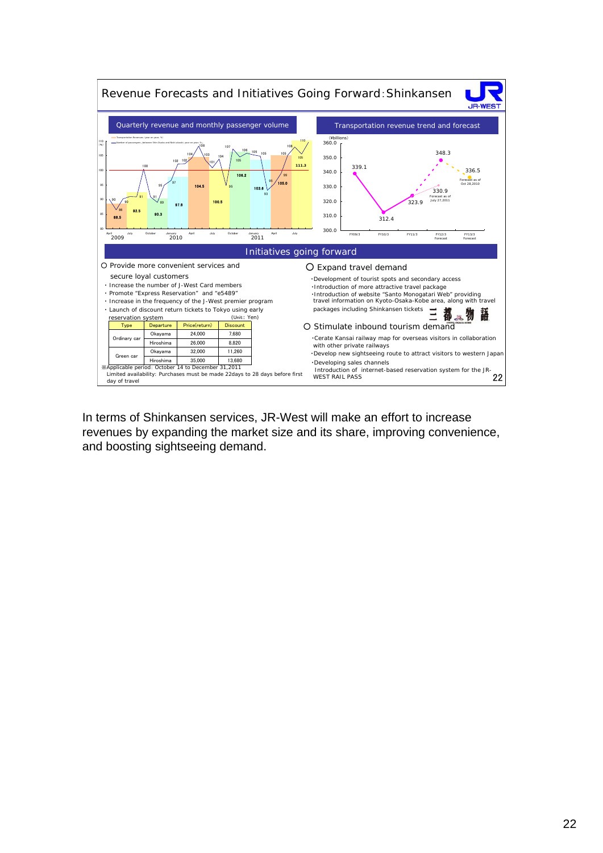

In terms of Shinkansen services, JR-West will make an effort to increase revenues by expanding the market size and its share, improving convenience, and boosting sightseeing demand.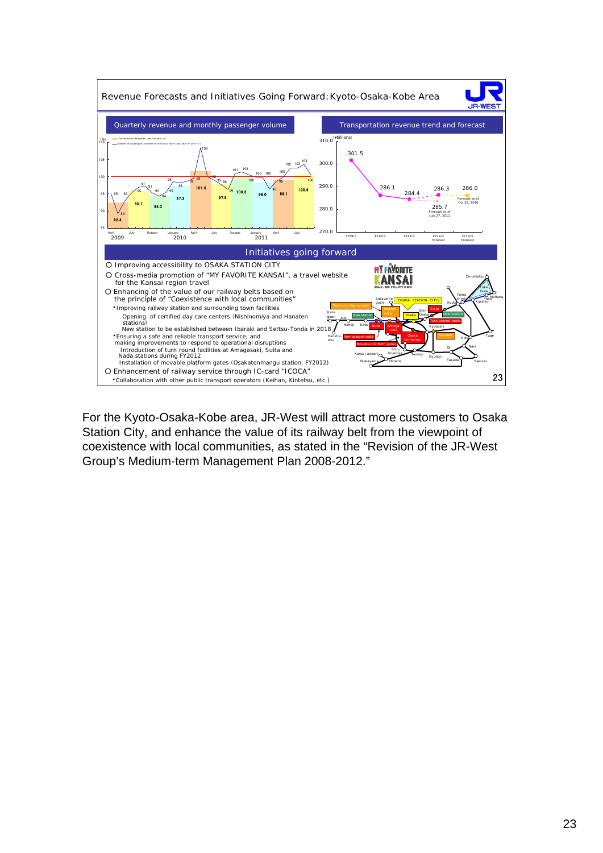

For the Kyoto-Osaka-Kobe area, JR-West will attract more customers to Osaka Station City, and enhance the value of its railway belt from the viewpoint of coexistence with local communities, as stated in the "Revision of the JR-West Group's Medium-term Management Plan 2008-2012."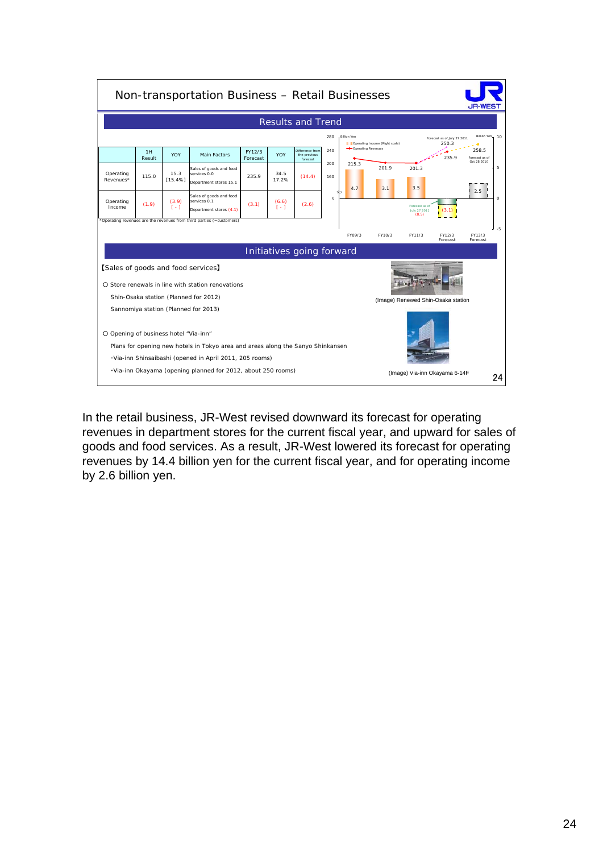

In the retail business, JR-West revised downward its forecast for operating revenues in department stores for the current fiscal year, and upward for sales of goods and food services. As a result, JR-West lowered its forecast for operating revenues by 14.4 billion yen for the current fiscal year, and for operating income by 2.6 billion yen.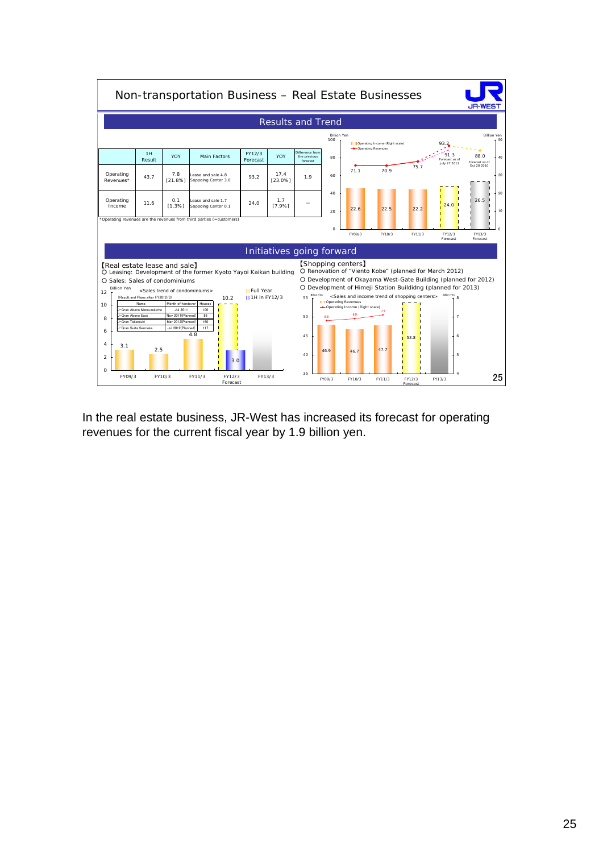

In the real estate business, JR-West has increased its forecast for operating revenues for the current fiscal year by 1.9 billion yen.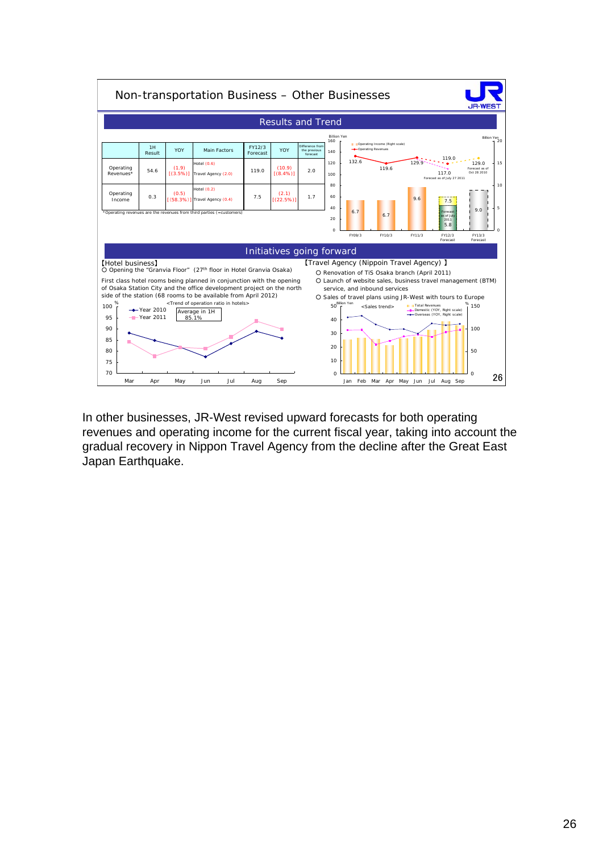

In other businesses, JR-West revised upward forecasts for both operating revenues and operating income for the current fiscal year, taking into account the gradual recovery in Nippon Travel Agency from the decline after the Great East Japan Earthquake.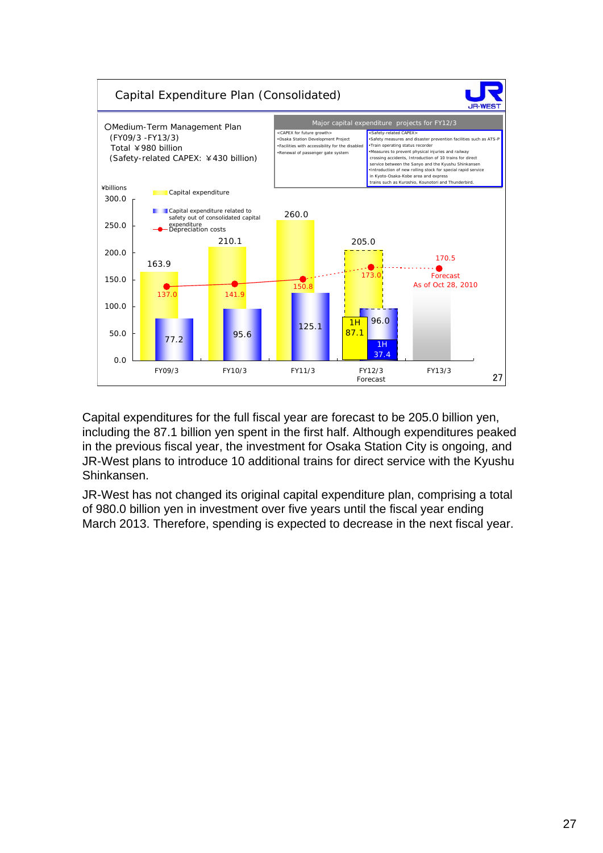

Capital expenditures for the full fiscal year are forecast to be 205.0 billion yen, including the 87.1 billion yen spent in the first half. Although expenditures peaked in the previous fiscal year, the investment for Osaka Station City is ongoing, and JR-West plans to introduce 10 additional trains for direct service with the Kyushu Shinkansen.

JR-West has not changed its original capital expenditure plan, comprising a total of 980.0 billion yen in investment over five years until the fiscal year ending March 2013. Therefore, spending is expected to decrease in the next fiscal year.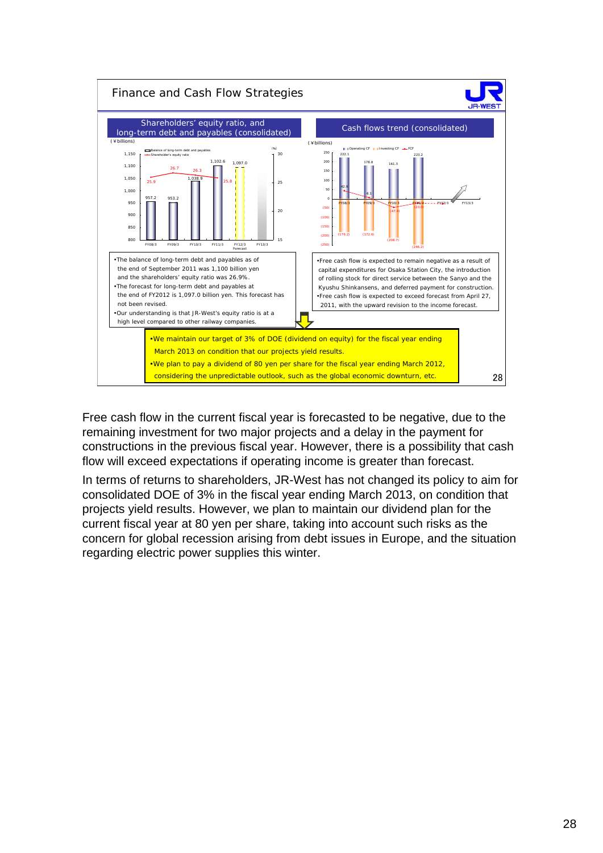

Free cash flow in the current fiscal year is forecasted to be negative, due to the remaining investment for two major projects and a delay in the payment for constructions in the previous fiscal year. However, there is a possibility that cash flow will exceed expectations if operating income is greater than forecast.

In terms of returns to shareholders, JR-West has not changed its policy to aim for consolidated DOE of 3% in the fiscal year ending March 2013, on condition that projects yield results. However, we plan to maintain our dividend plan for the current fiscal year at 80 yen per share, taking into account such risks as the concern for global recession arising from debt issues in Europe, and the situation regarding electric power supplies this winter.